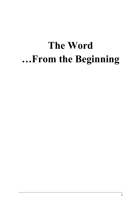# **The Word …From the Beginning**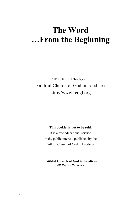# **The Word …From the Beginning**

COPYRIGHT February 2011 Faithful Church of God in Laodicea http://www.fcogl.org

#### **This booklet is not to be sold.**

It is a free educational service in the public interest, published by the Faithful Church of God in Laodicea.

**Faithful Church of God in Laodicea** *All Rights Reserved*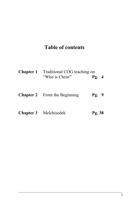# **Table of contents**

| <b>Chapter 1</b> Traditional COG teaching on<br>"Who is Christ" | Pg. 4 |  |
|-----------------------------------------------------------------|-------|--|
| <b>Chapter 2</b> From the Beginning                             | Pg. 9 |  |

# **Chapter 3** Melchisedek **Pg. 38**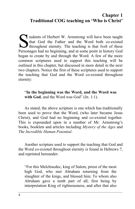### **Chapter 1 Traditional COG teaching on 'Who is Christ'**

tudents of Herbert W. Armstrong will have been taught that God the Father and the Word both co-existed If throughout eternity. The teaching is that *both* of these Personages had no beginning, and at some point in history God began to create by and through the Word. A few of the more common scriptures used to support this teaching will be outlined in this chapter, but discussed in more detail in the next two chapters. Notice the first of these scriptures used to support the teaching that God and the Word co-existed throughout eternity: S

#### "**In the beginning was the Word, and the Word was** with God, and the Word was God" (Jn. 1:1).

As stated, the above scripture is one which has traditionally been used to prove that the Word, (who later became Jesus Christ), and God had no beginning and co-existed together. This is expounded upon in a number of Mr. Armstrong's books, booklets and articles including *Mystery of the Ages* and *The Incredible Human Potential*.

Another scripture used to support the teaching that God and the Word co-existed throughout eternity is found in Hebrews 7, and reprinted hereunder:

"For this Melchisedec, king of Salem, priest of the most high God, who met Abraham returning from the slaughter of the kings, and blessed him; To whom also Abraham gave a tenth part of all; first being by interpretation King of righteousness, and after that also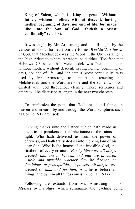King of Salem, which is, King of peace; **Without father, without mother, without descent, having neither beginning of days, nor end of life; but made like unto the Son of God; abideth a priest continually"** (vs. 1-3).

It was taught by Mr. Armstrong, and is still taught by the various offshoots formed from the former *Worldwide Church of God*, that Melchisedek was the Word in the Old Testament, the high priest to whom Abraham paid tithes. The fact that Hebrews 7:3 states that Melchisedek was "without father, without mother, without descent, having neither beginning of days, nor end of life" and "abideth a priest continually" was used by Mr. Armstrong to support the teaching that Melchisedek and the Word are one and the same, who coexisted with God throughout eternity. These scriptures and others will be discussed at length in the next two chapters.

To emphasize the point that God created all things in heaven and in earth by and through the Word, scriptures such as Col.  $1:12-17$  are used:

"Giving thanks unto the Father, which hath made us meet to be partakers of the inheritance of the saints in light: Who hath delivered us from the power of darkness, and hath translated us into the kingdom of his dear Son: Who is the image of the invisible God, the firstborn of every creature: *For by him were all things created, that are in heaven, and that are in earth, visible and invisible, whether they be thrones, or dominions, or principalities, or powers: all things were created by him, and for him:* And he is before all things, and by him all things consist" (Col. 1:12-17).

Following are extracts from Mr. Armstrong's book, *Mystery of the Ages,* which summarize the teaching being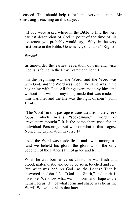discussed. This should help refresh in everyone's mind Mr. Armstrong's teaching on this subject:

"If you were asked where in the Bible to find the very earliest description of God in point of the time of his existence, you probably would say, "Why, in the very first verse in the Bible, Genesis 1:1, of course.'' Right?

Wrong!

In time-order the earliest revelation of WHO and WHAT God is is found in the New Testament: John 1:1.

"In the beginning was the Word, and the Word was with God, and the Word was God. The same was in the beginning with God. All things were made by him; and without him was not any thing made that was made. In him was life; and the life was the light of men" (John 1:1-4).

"The Word" in this passage is translated from the Greek *logos*, which means "spokesman," "word" or "revelatory thought." It is the name there used for an individual Personage. But who or what is this Logos? Notice the explanation in verse 14:

"And the Word was made flesh, and dwelt among us, (and we beheld his glory, the glory as of the only begotten of the Father,) full of grace and truth."

When he was born as Jesus Christ, he was flesh and blood, materialistic and could be seen, touched and felt. But what was he? As God—as the Logos? That is answered in John 4:24, "God is a Spirit," and spirit is invisible. We know what was his form and shape as the human Jesus. But of what form and shape was he as the Word? We will explain that later.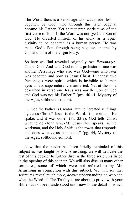The Word, then, is a Personage who was made flesh begotten by God, who through this later begettal became his Father. Yet at that prehistoric time of the first verse of John 1, the Word was not (yet) the Son of God. He divested himself of his glory as a Spirit divinity to be begotten as a human person. He was made God's Son, through being begotten or sired by Gop and born of the virgin Mary.

So here we find revealed originally *two Personages*. One is God. And with God in that prehistoric time was another Personage who also was God—one who later was begotten and born as Jesus Christ. But these two Personages were spirit, which is invisible to human eyes unless supernaturally manifested. Yet at the time described in verse one Jesus was *not* the Son of God and God was not his Father"" (pgs. 40-41, Mystery of the Ages, softbound edition).

"…God the Father is Creator. But he "created all things by Jesus Christ." Jesus is the Word. It is written, "He spake, and it was done" (Ps. 33:9). God tells Christ what to do (John 8:28-29). Jesus then speaks, as the workman, and the Holy Spirit is the POWER that responds and does what Jesus commands" (pg. 44, Mystery of the Ages, softbound edition).

Now that the reader has been briefly reminded of this subject as was taught by Mr. Armstrong, we will dedicate the rest of this booklet to further discuss the three scriptures listed in the opening of this chapter. We will also discuss many other scriptures, some of which were not referred to by Mr. Armstrong in connection with this subject. We will see that scriptures reveal much more, *deeper* understanding on who and what the Word is! The Truth you are about to prove with your Bible has not been understood until now in the detail in which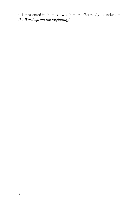it is presented in the next two chapters. Get ready to understand *the Word…from the beginning!*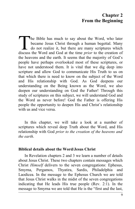## **Chapter 2 From the Beginning**

The Bible has much to say about the Word, who later became Jesus Christ through a human begettal. Many do not realize it, but there are many scriptures which The Bible has much to say about the Word, who later<br>became Jesus Christ through a human begettal. Many<br>do not realize it, but there are many scriptures which<br>discuss the Word and God at the time *prior* to the creation of the heavens and the earth. It seems that the majority of God's people have perhaps overlooked most of these scriptures, or have not understood them. It is vital that we dig deep into scripture and allow God to communicate His Truth to us on that which there is need to know on the subject of the Word and His relationship with God. As God deepens our understanding on the Being known as the Word, we also deepen our understanding on God the Father! Through this study of scriptures on this subject, we will understand God and the Word as never before! God the Father is offering His people the opportunity to deepen His and Christ's relationship with us and vice versa.

In this chapter, we will take a look at a number of scriptures which reveal deep Truth about the Word, and His relationship with God *prior to the creation of the heavens and the earth*.

#### **Biblical details about the Word/Jesus Christ**

In Revelation chapters 2 and 3 we learn a number of details about Jesus Christ. These two chapters contain messages which Christ *Himself* delivers to the seven congregations: Ephesus, Smyrna, Pergamos, Thyatira, Sardis, Philadelphia and Laodicea. In the message to the Ephesus Church we are told that Jesus Christ walks in the midst of the seven congregations indicating that He leads His true people (Rev. 2:1). In the message to Smyrna we are told that He is the "first and the last,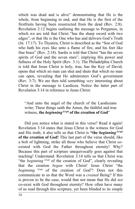which was dead and is alive" demonstrating that He is the whole, from beginning to end, and that He is the first of the firstfruits having been resurrected from the dead (Rev. 2:8). Revelation 2:12 begins outlining the message to Pergamos, in which we are told that Christ "has the sharp sword with two edges", or that He is the One who has and delivers God's Truth (Jn. 17:17). To Thyatira, Christ is described as the "Son of God who hath his eyes like unto a flame of fire, and his feet like fine brass" (Rev. 2:18). Sardis is told that Christ "has the seven spirits of God and the seven stars", implying His power and fullness of the Holy Spirit (Rev. 3:1). The Philadelphia Church is told that Jesus Christ is holy, true, has the Key of David, opens that which no man can shut and shuts that which no man can open, revealing that He administers God's government (Rev. 3:7). We are then told something *very* interesting about Christ in the message to Laodicea. Notice the latter part of Revelation 3:14 in reference to Jesus Christ:

"And unto the angel of the church of the Laodiceans write; These things saith the Amen, the faithful and true witness, **the** *beginning G746* **of the creation of God**"

Did you notice what is stated in this verse? Read it again! Revelation 3:14 states that Jesus Christ is the witness for God and His truth; it also tells us that Christ is **"the** *beginning G746* **of the creation of God!** This last part of the verse should, like a bolt of lightning, strike all those who believe that Christ coexisted with God the Father throughout eternity! Why? Because this part of scripture unequivocally goes against that teaching! Understand: Revelation 3:14 tells us that Christ was "the *beginning* <sup>G746</sup> of the creation of God", clearly revealing that the creation *began* with Christ! Jesus Christ "the *beginning G746* of the creation of God"! Does not this communicate to us that the Word was a *created* Being? If this is proven to be the case, would that not mean that He did *not* co-exist with God throughout eternity? How often have many of us read through this scripture, yet been blinded to its simple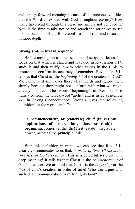and straightforward meaning because of the preconceived idea that the Word co-existed with God throughout eternity? How many have read through this verse and simply not believed it? Now is the time to take notice and search the scriptures to see if other sections of the Bible confirm this Truth and discuss it in more depth!

#### **Strong's 746 = first in sequence**

Before moving on to other sections of scripture, let us first focus on that which is stated and revealed in Revelation 3:14, study it and then verify it with other verses in the Bible to ensure and confirm its accuracy. Remember: Revelation 3:14 tells us that Christ is "the *beginning G746* of the creation of God". We cannot just skim over these clear words and ignore them simply because they might not conform with what we might already believe! The word "beginning" in Rev. 3:14 is translated from the Greek word "arche" and is listed as number 746 in Strong's concordance. Strong's gives the following definition for the word "arche":

"**a commencement, or (concrete) chief (in various applications of order, time, place or rank): beginning,** corner, (at the, the) **first** (estate), magistrate, power, principality, **principle**, rule".

With this definition in mind, we can see that Rev. 3:14 clearly communicates to us that, *in order of time*, *Christ is the very first of God's creation*. This is a powerful scripture with deep meaning! It tells us that Christ is the *commencement* of God's creation. We are told that Christ is the *beginning* or the *first* of God's creation in order of time! Who can argue with such clear communication from Almighty God?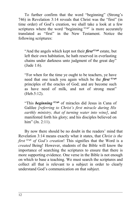To further confirm that the word "beginning" (Strong's 746) in Revelation 3:14 reveals that Christ was the "first" (in time order) of God's creation, we shall take a look at a few scriptures where the word "beginning  $G746$ " is more accurately translated as "first" in the New Testament. Notice the following scriptures:

"And the angels which kept not their *first G746* estate, but left their own habitation, he hath reserved in everlasting chains under darkness unto judgment of the great day" (Jude 1:6).

"For when for the time ye ought to be teachers, ye have need that one teach you again which be the *first G746* principles of the oracles of God; and are become such as have need of milk, and not of strong meat" (Heb.5:12).

"This *beginning G746* of miracles did Jesus in Cana of Galilee *[referring to Christ's first miracle during His earthly ministry, that of turning water into wine]*, and manifested forth his glory; and his disciples believed on him" (Jn. 2:11).

By now there should be no doubt in the readers' mind that Revelation 3:14 means exactly what it states, that *Christ is the first G746 of God's creation*! This signifies that the Word is a *created* Being! However, students of the Bible will know the importance of searching the scriptures to ensure that there is more supporting evidence. One verse in the Bible is not enough on which to base a teaching. We must search the scriptures and collect all that is relevant to a subject in order to clearly understand God's communication on that subject.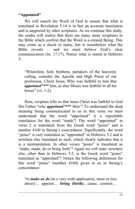#### **"Appointed"**

We will search the Word of God to ensure that what is translated in Revelation 3:14 is in fact an accurate translation and is supported by other scriptures. As we continue this study, the reader will realize that there are many more scriptures in the Bible which confirm that the Word is a created Being. This may come as a shock to many, but is nonetheless what the Bible reveals – and we must believe God's clear communication (Jn. 17:17). Notice what is stated in Hebrews 3:

"Wherefore, holy brethren, partakers of the heavenly calling, consider the Apostle and High Priest of our profession, Christ Jesus; Who was faithful to him that *appointed G4160* him, as also Moses was faithful in all his house" (vs. 1-2).

Here, scripture tells us that Jesus Christ was faithful to God His Father "who *appointed*<sup>G4160</sup> Him"! To understand the deep meaning being communicated to us in this verse we must understand that the word "appointed" is a regrettable translation for the word "made"! The word "appointed" in verse 2 is translated from the Greek word "poieo" and is number 4160 in Strong's concordance. Significantly, the word "poieo" is *only* translated as "appointed" in Hebrews 3:2 and is nowhere else translated as such, which clearly indicates that it is a mistranslation. In other verses "poieo" is translated as "make, made, do or bring forth"! Again we will state: nowhere else, other than in Hebrews 3:2, is the Greek word "poieo" translated as "appointed"! Notice the following definitions for this word "poieo" (number 4160) given to us in Strong's concordance:

"to *make* **or** *do* (in a very wide application, more or less direct)… appoint… **bring (forth)**…cause, commit…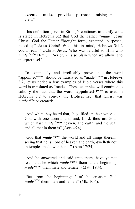**execute**… **make**… provide… **purpose**… raising up… yield".

This definition given in Strong's continues to clarify what is stated in Hebrews 3:2 that God the Father *"made"* Jesus Christ! God the Father "brought forth, executed, purposed, raised up" Jesus Christ! With this in mind, Hebrews 3:1-2 could read, "…Christ Jesus, Who was faithful to Him who *made*<sup>*G4160*</sup> Him...". Scripture is so plain when we allow it to interpret itself.

To completely and irrefutably prove that the word "appointed<sup>G4160"</sup> should be translated as "made<sup>G4160"</sup> in Hebrews 3:2, let us notice a few examples of Bible verses where this word is translated as "made". These examples will continue to solidify the fact that the word "appointed<sup>G4160</sup>" is used in Hebrews 3:2 to convey the Biblical fact that Christ was *madeG4160* or created:

"And when they heard that, they lifted up their voice to God with one accord, and said, Lord, thou art God, which hast *made G4160* heaven, and earth, and the sea, and all that in them is" (Acts 4:24).

"God that *made G4160* the world and all things therein, seeing that he is Lord of heaven and earth, dwelleth not in temples made with hands" (Acts 17:24).

"And he answered and said unto them, have ye not read, that he which *made G4160* them at the beginning *made*<sup>*G4160*</sup> them male and female" (Matt. 19:4).

"But from the beginning  $G<sup>746</sup>$  of the creation God *madeG4160* them male and female" (Mk. 10:6).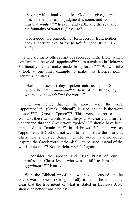"Saying with a loud voice, fear God, and give glory to him; for the hour of his judgment is come: and worship him that *made G4160* heaven, and earth, and the sea, and the fountains of waters" (Rev. 14:7).

"For a good tree bringeth not forth corrupt fruit; neither doth a corrupt tree *bring forthG4160* good fruit" (Lk. 6:43).

There are many other scriptures recorded in the Bible, which confirm that the word "appointed<sup>G4160"</sup> as translated in Hebrews 3:2 literally means "make, made, bring forth $G4160$ ". We will take a look at one final example to make this Biblical point. Hebrews 1<sup>-2</sup> states:

"Hath in these last days spoken unto us by his Son, whom he hath *appointedG5087* heir of all things, by whom also he *made*<sup>G4160</sup> the worlds".

Did you notice that in the above verse the word "appointed<sup>G5087"</sup> (Greek: "tithemi") is used, and so is the word "made<sup>G4160"</sup> (Greek: "poieo")? This verse compares and contrasts these two words, which helps us to clearly and further understand that the Greek word "poieo<sup>G4160"</sup> should have been translated as "made G4160" in Hebrews 3:2 and *not* as "appointed". If God did not want to demonstrate the idea that Christ was a created Being, then He would have no doubt inspired the Greek word "tithemi<sup>G5087</sup>" to be used instead of the word "poieo<sup>G4160"</sup>! Notice Hebrews 3:1-2 again:

"…consider the apostle and High Priest of our profession, Christ Jesus; who was faithful to Him that *appointed G4160* Him…"

With the Biblical proof that we have discussed on the Greek word "poieo" (Strong's 4160), it should be abundantly clear that the true intent of what is stated in Hebrews 3:1-2 should be better translated as: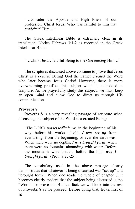"…consider the Apostle and High Priest of our profession, Christ Jesus; Who was faithful to him that  $made^{G4160}$  Him<sup>"</sup>

The Greek Interlinear Bible is extremely clear in its translation. Notice Hebrews 3:1-2 as recorded in the Greek Interlinear Bible:

"…Christ Jesus, faithful Being to the One *making* Him…"

The scriptures discussed above continue to prove that Jesus Christ is a *created* Being! God the Father *created* the Word who later became Jesus Christ! However, there is more overwhelming proof on this subject which is embedded in scripture. As we prayerfully study this subject, we must keep an open mind and allow God to direct us through His communication.

#### **Proverbs 8**

Proverbs 8 is a very revealing passage of scripture when discussing the subject of the Word as a created Being:

"The LORD *possessedH7069* me in the beginning of his way, before his works of old. *I was set up* from everlasting, from the beginning, or ever the earth was. When there were no depths, *I was brought forth*; when there were no fountains abounding with water. Before the mountains were settled, before the hills *was I brought forth*" (Prov. 8:22-25).

The vocabulary used in the above passage clearly demonstrates that whatever is being discussed was "set up" and "brought forth". When one reads the whole of chapter 8, it becomes clearly evident that the subject being discussed is the "Word". To prove this Biblical fact, we will look into the rest of Proverbs 8 as we proceed. Before doing that, let us first of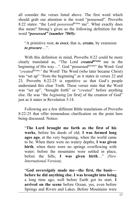all consider the verses listed above. The first word which should grab our attention is the word "possessed". Proverbs 8:22 states: "the Lord *possessedH7069* me". What exactly does this mean? Strong's gives us the following definition for the word *"possessed" (number 7069):*

"A primitive root; *to erect*, that is, **create**, by extension *to procure*…".

With this definition in mind, Proverbs 8:22 could be more clearly translated as, "The Lord *createdH7069* me in the beginning of His way...". God "possessed<sup>H7069</sup>" the Word: God *"createdH7069"* the Word! The Word (who later became Christ) was "set up" "from the beginning" as it states in verses 22 and 23. Proverbs 8:22-25 is repetitive so that God's people understand this clear Truth. These verses state that the Word was "set up", "brought forth" or "*created"* before anything else. He was "the *beginning* [or first] of the creation of God" just as it states in Revelation 3:14.

Following are a few different Bible translations of Proverbs 8:22-25 that offer tremendous clarification on the point here being discussed. Notice:

"**The Lord brought me forth as the first of his works**, before his deeds of old; **I was formed long ages ago**, at the very beginning, when the world came to be. When there were no watery depths, **I was given birth**, when there were no springs overflowing with water; before the mountains were settled in place, before the hills, **I was given birth**…" *(New International Version).* 

"**God sovereignly made me—the first, the basic before he did anything else. I was brought into being** a long time ago, well before Earth got its start. **I arrived on the scene** before Ocean, yes, even before Springs and Rivers and Lakes. Before Mountains were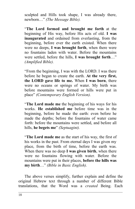sculpted and Hills took shape, I was already there, newborn…" *(The Message Bible).*

"**The Lord formed and brought me forth** at the beginning of His way, before His acts of old. **I was inaugurated** and ordained from everlasting, from the beginning, before ever the earth existed. When there were no deeps, **I was brought forth**, when there were no fountains laden with water. Before the mountains were settled, before the hills, **I was brought forth**…" *(Amplified Bible).*

"From the beginning, I was with the LORD. I was there before he began to create the earth. **At the very first, the LORD gave life to me.** When **I was born**, there were no oceans or springs of water. My birth was before mountains were formed or hills were put in place" *(Contemporary English Version).*

"**The Lord made me** the beginning of his ways for his works. **He established me** before time was in the beginning, before he made the earth: even before he made the depths; before the fountains of water came forth: before the mountains were settled, and before all hills, **he begets me**" *(Septuagint).*

"**The Lord made me** as the start of his way, the first of his works in the past. From eternal days I was given my place, from the birth of time, before the earth was. When there was no deep **I was given birth**, when there were no fountains flowing with water. Before the mountains were put in their places, **before the hills was my birth**…" *(Bible in Basic English).* 

The above verses simplify, further explain and define the original Hebrew text through a number of different Bible translations, that the Word was a *created* Being. Each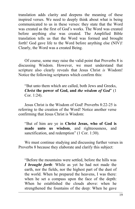translation adds clarity and deepens the meaning of these inspired verses. We need to deeply think about what is being communicated to us in these verses: they state that the Word was created as the first of God's works. The Word was created before anything else was created. The Amplified Bible translation tells us that the Word was formed and brought forth! God gave life to the Word before anything else (NIV)! Clearly, the Word was a created Being.

Of course, some may raise the valid point that Proverbs 8 is discussing Wisdom. However, we must understand that scripture also clearly reveals that Jesus Christ *is* Wisdom! Notice the following scriptures which confirm this:

"But unto them which are called, both Jews and Greeks, *Christ* **the power of God, and** *the wisdom of God*" (1 Cor. 1:24).

Jesus Christ is the Wisdom of God! Proverbs 8:22-25 is referring to the creation of the Word! Notice another verse confirming that Jesus Christ is Wisdom:

"But of him are ye in **Christ Jesus, who of God is made unto us wisdom**, and righteousness, and sanctification, and redemption" (1 Cor. 1:30).

We must continue studying and discussing further verses in Proverbs 8 because they elaborate and clarify this subject:

"Before the mountains were settled, before the hills was *I brought forth*: While as yet he had not made the earth, nor the fields, nor the highest part of the dust of the world. When he prepared the heavens, I was there: when he set a compass upon the face of the depth: When he established the clouds above: when he strengthened the fountains of the deep: When he gave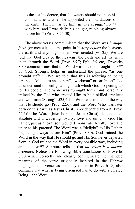to the sea his decree, that the waters should not pass his commandment: when he appointed the foundations of the earth: Then I was by him, *as one brought upH525* with him: and I was daily his delight, rejoicing always before him" (Prov. 8:25-30).

The above verses communicate that the Word was *brought forth* (or created) at some point in history *before* the heavens, the earth and anything in them was created (vs. 25). We are told that God created the heavens, the earth and all that is in them through the Word (Prov. 8:27; Eph. 3:9 etc). Proverbs 8:30 communicates that the Word was "as one brought  $up<sup>H525</sup>$ " by God. Strong's helps us understand the phrase: "as one brought up<sup>H525"</sup>. We are told that this is referring to being "trained, skilled" as an "expert", "workman" or "architect". Let us understand this enlightening Truth which God is opening up to His people: The Word was "brought forth" and personally trained by the God who created Him to be a skilled architect and workman (Strong's 525)! The Word was trained in the way that He should go (Prov. 22:6), and the Word Who was later born on this earth as Jesus Christ *never* departed from it (Prov. 22:6)! The Word (later born as Jesus Christ) demonstrated absolute and unwavering loyalty, love and unity to God His Father, just as a loyal son would demonstrate loyalty, love and unity to his parents! The Word was a "delight" to His Father, "rejoicing always before Him" (Prov. 8:30). God trained the Word in the way that He should go and His Son never departed from it. God trained the Word in every possible way, including architectureH525! Scripture tells us that *the Word is a master architect!* Notice the following Bible translations of Proverbs 8:30 which correctly and clearly communicate the intended meaning of the verse originally inspired in the Hebrew language. This verse, as do many others in Proverbs 8, also confirms that what is being discussed has to do with a created Being – the Word: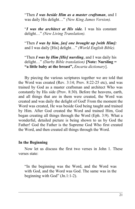"Then *I was beside Him as a master craftsman*, and I was daily His delight…" *(New King James Version).*

"*I was the architect at His side.* I was his constant delight…" *(New Living Translation).*

"Then *I was by him, [as] one brought up [with Him]:* and I was daily [His] delight…" *(World English Bible).*

"Then *I was by Him [His] nursling*, and I was daily his delight…" *(Darby Bible translation)* **[Note: Nursling = "a little baby at the breast",** *Encarta dictionary*].

By piecing the various scriptures together we are told that the Word was created (Rev. 3:14; Prov. 8:22-25 etc), and was trained by God as a master craftsman and architect Who was constantly by His side (Prov. 8:30). Before the heavens, earth, and all things that are in them were created, the Word was created and was daily the delight of God! From the moment the Word was created, He was beside God being taught and trained by Him. After God created the Word and trained Him, God began creating all things through the Word (Eph. 3:9). What a wonderful, detailed picture is being shown to us by God the Father! God the Father is the Supreme God Who first created the Word, and then created all things through the Word.

#### **In the Beginning**

Now let us discuss the first two verses in John 1. These verses state:

"In the beginning was the Word, and the Word was with God, and the Word was God. The same was in the beginning with God" (Jn.1:1-2).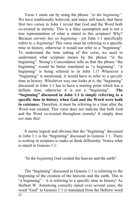Verse 1 starts out by using the phrase *"in the beginning".* We have traditionally believed, and many still teach, that these first two verses in John 1 reveal that God and the Word both co-existed in eternity. This is a false assumption and is not a true representation of what is stated in this scripture! Why? Because *eternity has no beginning -* yet John 1:1 specifically refers to *a beginning*! This verse must be referring to a specific time in history, otherwise it would not refer to a "beginning". To understand the time setting of this verse, we need to understand what scripture means by the phrase "in the beginning". Strong's Concordance tells us that the phrase "the beginning" would be better translated as "*a* beginning". "A beginning" is being referred to in John 1:1! Whenever a "beginning" is mentioned, it would have to refer to a *specific* time in history. Whichever way one looks at it, the "beginning" discussed in John 1:1 has to have a starting point which has a definite time, otherwise it is not a "beginning". **The "beginning" discussed in John 1:1 is simply referring to a specific time in history when God and the Word were both in existance.** Therefore, it must be referring to a time after the Word was created. This verse does not indicate that both God and the Word co-existed throughout eternity! It simply does *not* state this!

It seems logical and obvious that the "beginning" discussed in John 1:1 is the "beginning" discussed in Genesis 1:1. There is *nothing* in scripture to make us think differently. Notice what is stated in Genesis 1:1:

"In the *beginning* God created the heaven and the earth".

The "beginning" discussed in Genesis 1:1 is referring to the beginning of the creation of the heavens and the earth. This is "a beginning" – it is referring to a specific time in history! As Herbert W. Armstrong correctly stated over several years, the word "God" in Genesis 1:1 is translated from the Hebrew word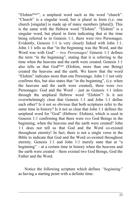"ElohimH430", a uniplural word such as the word "church". "Church" is a singular word, but is plural in form (i.e. one church [singular] is made up of many members [plural]). This is the same with the Hebrew word "Elohim". "Elohim" is a singular word, but plural in form indicating that at the time being referred to in Genesis 1:1, there were two Personages. Evidently, Genesis 1:1 is very closely linked with John 1:1. John 1:1 tells us that "in the beginning was the Word, and the Word was with God" – *two Personages!* Genesis 1:1 defines the term "in the beginning", stating that it is referring to the time when the heavens and the earth were created. Genesis 1:1 also tells us that  $God^{H430}$  (Elohim, more than one Being) created the heavens and the earth. We know that the word "Elohim" indicates more than one Personage. John 1:1 not only confirms this, but also states that "in the beginning", (i.e. when the heavens and the earth were created), there were *two* Personages: God and the Word – just as Genesis 1:1 infers through the uniplural Hebrew word "Elohim"! Is it not overwhelmingly clear that Genesis 1:1 and John 1:1 define each other? Is it not so obvious that both scriptures refer to the same time in history? Is it not so clear that John 1:1 defines the uniplural word for "God" (Hebrew: Elohim), which is used in Genesis 1:1 confirming that there were *two* God Beings in the beginning, when the heavens and the earth were created? John 1:1 does not tell us that God and the Word co-existed throughout eternity! In fact, there is not a single verse in the Bible to indicate that God and the Word co-existed throughout eternity. Genesis 1:1 and John 1:1 merely state that at "a beginning" – at a certain time in history when the heavens and the earth were created – there existed two God Beings, God the Father and the Word.

Notice the following scripture which defines *"beginning"* as having a starting point with a definite time: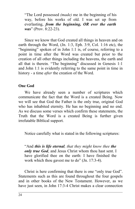"The Lord possessed *(made)* me in the beginning of his way, before his works of old. I was set up from everlasting, *from the beginning, OR ever the earth was*" (Prov. 8:22-23).

Since we know that God created all things in heaven and on earth through the Word, (Jn. 1:3, Eph. 3:9, Col. 1:16 etc), the "beginning" spoken of in John 1:1 is, of course, referring to a point in time after the Word was created but prior to the creation of all other things including the heavens, the earth and all that is therein. "The beginning" discussed in Genesis 1:1 and John 1:1 is evidently referring to the same point in time in history - a time *after* the creation of the Word.

#### **One God**

We have already seen a number of scriptures which communicate the fact that the Word is a created Being. Now we will see that God the Father is the only true, original God who has inhabited eternity. He has no beginning and no end. As we discuss some verses which confirm these statements, the Truth that the Word is a created Being is further given irrefutable Biblical support.

Notice carefully what is stated in the following scriptures:

"And *this is life eternal, that they might know thee the only true God*, and Jesus Christ whom thou hast sent. I have glorified thee on the earth: I have finished the work which thou gavest me to do" (Jn. 17:3-4).

Christ is here confirming that there is one "only true God". Statements such as this are found throughout the four gospels and in other books of the New Testament. However, as we have just seen, in John 17:3-4 Christ makes a clear connection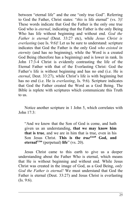between "eternal life" and the one "only true God". Referring to God the Father, Christ states: "*this* is life eternal" (vs. 3)! These words indicate that God the Father is the only one true God who is *eternal*, indicating that the Father is the only Being Who has life without beginning and without end. *God the Father is eternal* (Deut. 33:27 etc), while *Jesus Christ is everlasting* (see Is. 9:6)! Let us be sure to understand: scripture indicates that God the Father is the only God *who existed in eternity* (and has no beginning), while the Word is a created God Being (therefore has a beginning) and is lower in rank. In John 17:3-4 Christ is evidently contrasting the life of the Eternal Father with that of the Everlasting Christ: God the Father's life is without beginning and has no end (i.e. He is *eternal*, Deut. 33:27), while Christ's life is with beginning but has no end (i.e. He is *everlasting*, Is. 9:6). Scripture indicates that God the Father created the Word as a God Being. The Bible is replete with scriptures which communicate this Truth to us.

Notice another scripture in 1 John 5, which correlates with John  $17.3$ 

"And we know that the Son of God is come, and hath given us an understanding, **that we may know him that is true**, and we are in him that is true, even in his Son Jesus Christ. **This is the** *trueG228* **God, and eternalG166** (perpetual) **life**" (vs. 20).

Jesus Christ came to this earth to give us a deeper understanding about the Father Who is eternal, which means that He is without beginning and without end. While Jesus Christ was created in the image of God, as a God Being, *only God the Father is eternal!* We must understand that God the Father is eternal (Deut. 33:27) and Jesus Christ is everlasting  $(Is. 9:6).$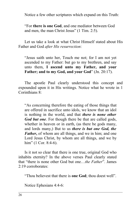Notice a few other scriptures which expand on this Truth:

"For **there is one God**, and one mediator between God and men, the man Christ Jesus" (1 Tim. 2:5).

Let us take a look at what Christ Himself stated about His Father and God *after His resurrection*:

"Jesus saith unto her, Touch me not; for I am not yet ascended to my Father: but go to my brethren, and say unto them, **I ascend unto my Father, and your Father; and to my God, and your God**" (Jn. 20:17).

The apostle Paul clearly understood this concept and expounded upon it in His writings. Notice what he wrote in 1 Corinthians 8:

"As concerning therefore the eating of those things that are offered in sacrifice unto idols, we know that an idol is nothing in the world, and that *there is none other God but one*. For though there be that are called gods, whether in heaven or in earth, (as there be gods many, and lords many,) But to us *there is but one God, the Father***,** of whom are all things, and we in him; and one Lord Jesus Christ, by whom are all things, and we by him" (1 Cor. 8:4-6).

Is it not so clear that there is one true, original God who inhabits eternity? In the above verses Paul clearly stated that "there is none other God but one…*the Father*". James 2:19 corroborates:

"Thou believest that there is **one God**; thou doest well".

Notice Ephesians 4:4-6: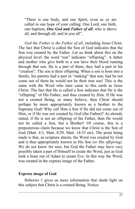"There is one body, and one Spirit, even as ye are called in one hope of your calling; One Lord, one faith, one baptism, *One God* **and** *Father of all*, who is above all, and through all, and in you all".

*God the Father is the Father of all*, including Jesus Christ. The fact that Christ is called the Son of God indicates that the Son was created by the Father. Let us think about this on the physical level: the word "son" indicates "offspring". A father and mother who give birth to a son have their blood running through that son. He is a part of them; they had a part in his "creation". The son is their offspring. When a son is born into a family, his parents had a part in "making" that son; had he not come out of them he would not be their true son! This is the same with the Word who later came to this earth as Jesus Christ. The fact that He is called a Son indicates that He is the "offspring" of His Father, and thus created by Him. If He was not a created Being, as many believe, then Christ should perhaps be more appropriately known as a brother to the Supreme God! Why call Him a Son if He did not come out of Him, or if He was not created by God (the Father)? As already stated, if He is not an offspring of the Father, then He would not be called a Son, but a Brother! Of course, this is a preposterous claim because we know that Christ is the Son of God (Matt. 4:3, Matt. 8:29, Matt. 14:33 etc). The point being made is that, as scripture attests, the Word was created by God and is thus appropriately known as His Son *(or His offspring).* We do not know for sure, but God the Father may have very possibly taken a part of Himself to create the Word, just as God took a bone out of Adam to create Eve. In this way the Word, was created in the express image of the Father.

#### **Express** *image* **of God**

Hebrews 1 gives us more information that sheds light on this subject that Christ is a created Being. Notice: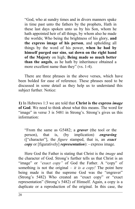"God, who at sundry times and in divers manners spake in time past unto the fathers by the prophets, Hath in these last days spoken unto us by his Son, whom he hath appointed heir of all things, by whom also he made the worlds; Who being the brightness of his glory, **and the express image of his person**, and upholding all things by the word of his power, **when he had by himself purged our sins**, **sat down on the right hand of the Majesty** on high; **Being made so much better than the angels**, as he hath by inheritance obtained a more excellent name than they" (vs. 1-4).

There are three phrases in the above verses, which have been bolded for ease of reference. These phrases need to be discussed in some detail as they help us to understand this subject further. Notice:

**1)** In Hebrews 1:3 we are told that **Christ is the express** *image* **of God**. We need to think about what this means. The word for "image" in verse 3 is 5481 in Strong's. Strong's gives us this information:

"From the same as G5482; a *graver* (the tool or the person), that is, (by implication) *engraving* (["character"], the *figure* stamped, that is, an *exact copy* or [figuratively] *representation*): - express image.

Here God the Father is stating that Christ is the *image* and the character of God. Strong's further tells us that Christ is an "image" or *"exact copy"* of God the Father. A "copy" of something is not the original – *it is a copy!* The point here being made is that the supreme God was the "engraver" (Strong's 5482) Who created an "exact copy" or "exact representation" (Strong's 5482) of Himself. Again, a copy is a duplicate or a reproduction of the original. In this case, the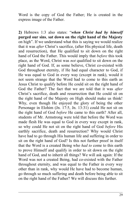Word is the copy of God the Father; He is created in the express image of the Father.

**2)** Hebrews 1:3 also states: "*when Christ had by himself* **purged our sins**, **sat down on the right hand of the Majesty** on high". If we understand what this is saying we would realize that it was *after* Christ's sacrifice, (after His physical life, death and resurrection), that He qualified to sit down on the right hand of God the Father. This would imply that *before* this took place, as the Word, Christ was *not* qualified to sit down on the right hand of God. If, as some believe, Christ co-existed with God throughout eternity, if He had equal character to God, if He was equal to God in every way (except in rank), would it not seem strange that the Word had to come to this earth as Jesus Christ to qualify before He could sit on the right hand of God the Father? The fact that we are told that it was *after* Christ's sacrifice, death and resurrection that He could sit on the right hand of the Majesty on High should make us think! Why, even though He enjoyed the glory of being the other Personage in Elohim (Jn. 17:5, Jn. 13:31) could He not sit on the right hand of God *before* He came to this earth? After all, students of Mr. Armstrong were told that before the Word was made flesh He was equal to God in every way except in rank, so why could He not sit on the right hand of God *before* His earthly sacrifice, death and resurrection? Why would Christ have had to go through His human life and suffering in order to sit on the right hand of God? Is this not further proof in itself that the Word is a created Being who *had to* come to this earth to prove Himself and qualify in order to sit down on the right hand of God, and to inherit all things? We will ask again: If the Word was not a created Being, had co-existed with the Father throughout eternity, and was equal to the Father in every way other than in rank, why would He have had to become human, go through so much suffering and death before being able to sit on the right hand of the Father? We will discuss this further.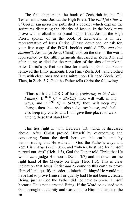The first chapters in the book of Zechariah in the Old Testament discuss Joshua the High Priest. The *Faithful Church of God in Laodicea* has published a booklet which explain the scriptures discussing the identity of Joshua. In the booklet we prove with irrefutable scriptural support that Joshua the High Priest, spoken of in the book of Zechariah, is in fact representative of Jesus Christ. (Please download, or ask for, your free copy of the FCGL booklet entitled "*The end-time Joshua*"). Joshua (or Jesus Christ) took on the sins of the world represented by the filthy garments discussed in Zech. 3:3, and after doing so died for the remission of the sins of mankind. After Christ's perfect sacrifice for mankind, God the Father removed the filthy garments from Him (Zech. 3:4), and clothed Him with clean ones and set a mitre upon His head (Zech. 3:5). Then, in Zech. 3:7, God the Father tells Christ the following:

"Thus saith the LORD of hosts *[referring to God the Father]*; If  $^{H518}$  *[if = SINCE]* thou wilt walk in my ways, and if H518 *[if = SINCE]* thou wilt keep my charge, then thou shalt also judge my house, and shalt also keep my courts, and I will give thee places to walk among these that stand by".

This ties right in with Hebrews 1:3, which is discussed above! After Christ proved Himself by overcoming and conquering Satan the devil here on this earth, and by demonstrating that He walked in God the Father's ways and kept His charge (Zech. 3:7), and "when Christ had by himself purged our sins" (Heb. 1:3), God the Father told Christ that He would *now* judge His house (Zech. 3:7) and sit down on the right hand of the Majesty on High (Heb. 1:3). This is clear indication that Jesus Christ *had to* come to this earth to prove Himself and qualify in order to inherit all things! He would not have had to prove Himself or qualify had He not been a created Being, just as God the Father did not have to prove Himself because He is not a created Being! If the Word co-existed with God throughout eternity and was equal to Him in character, the

30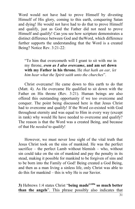Word would not have had to prove Himself by divesting Himself of His glory, coming to this earth, conquering Satan and dying! He would not have had to do that to prove Himself and qualify, just as God the Father did not need to prove Himself and qualify! Can you see how scripture demonstrates a distinct difference between God and theWord, which difference further supports the understanding that the Word is a created Being? Notice Rev. 3:21-22:

"To him that overcometh will I grant to sit with me in my throne, *even as I also overcame***, and am set down with my Father in his throne.** He *that hath an ear, let him hear what the Spirit saith unto the churches*".

Christ overcame! He came down to this earth to do that (Matt. 4). As He overcame He qualified to sit down with the Father on His throne (Rev. 3:21). Human beings are also offered this outstanding opportunity if we too overcome and conquer. The point being discussed here is that Jesus Christ had to overcome and qualify! If the Word co-existed with God throughout eternity and was equal to Him in every way (except in rank) why would He have needed to overcome and qualify? The reason is that the Word was a created Being, and because of that He *needed* to qualify!

However, we must never lose sight of the vital truth that Jesus Christ took on the sins of mankind. He was the perfect sacrifice – the perfect Lamb without blemish – who, without sin could take on the sin of mankind and pay the penalty in its stead, making it possible for mankind to be forgiven of sins and to be born into the Family of God! Being created a God Being, and then as a man living a sinless life, only Christ was able to do this for mankind – this is why He is our Savior.

**3)** Hebrews 1:4 states Christ "**being madeG1096 so much better than the angels**". This phrase possibly also indicates that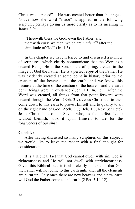Christ was "created" – He was created better than the angels! Notice how the word "made" is applied in the following scripture, perhaps giving us more clarity as to its meaning in James 3:9:

"Therewith bless we God, even the Father; and therewith curse we men, which are *madeG1096* after the similitude of God" (Jn. 1:3).

In this chapter we have referred to and discussed a number of scriptures, which clearly communicate that the Word is a created Being. He is the Son, or the offspring, created in the image of God the Father. He is a perfect *copy* of the Father. He was evidently created at some point in history prior to the creation of the heavens and the earth, and we know this because at the time of the creation of the heavens and the earth both Beings were in existence (Gen. 1:1; Jn. 1:1). After the Word was created, all things from that point forward were created through the Word (Eph. 3:9). Jesus Christ had to then come down to this earth to prove Himself and to qualify to sit on the right hand of God (Zech. 3:7; Heb. 1:3; Rev. 3:21 etc). Jesus Christ is also our Savior who, as the perfect Lamb without blemish, took it upon Himself to die for the forgiveness of our sins!

#### **Consider**

After having discussed so many scriptures on this subject, we would like to leave the reader with a final thought for consideration.

It is a Biblical fact that God cannot dwell with sin. God is righteousness and He will not dwell with unrighteousness. Given this Biblical fact, it is also clearly understood that God the Father will not come to this earth until after all the elements are burnt up. Only once there are new heavens and a new earth will God the Father come to this earth (2 Pet. 3:10-12).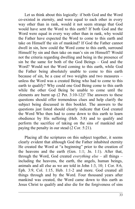Let us think about this logically: if both God and the Word co-existed in eternity, and were equal to each other in every way other than in rank, would it not seem strange that God would have sent the Word to this earth? If both God and the Word were equal in every way other than in rank, why would the Father have expected the Word to come to this earth and take on Himself the sin of mankind? If God the Father cannot dwell in sin, how could the Word come to this earth, surround Himself by sin and then take on man's sin on Himself? Would not the criteria regarding dwelling and being in the presence of sin be the same for both of the God Beings – God and the Word? Would not the Word coming to this earth, while God the Father being absolutely unable to come to this earth because of sin, be a case of two weights and two measures – unless the Word was a created Being who had to come to this earth to qualify? Why could one God Being come to this earth while the other God Being be unable to come until the elements are burnt up (2 Pet. 3:10-12)? The answers to these questions should offer tremendous clues and help clarify the subject being discussed in this booklet. The answers to the questions just listed should clearly indicate that God created the Word Who then had to come down to this earth to learn obedience by His suffering (Heb. 5:8) and to qualify and perform the sacrifice of taking on the sins of mankind and paying the penalty in our stead (2 Cor. 5:21).

Placing all the scriptures on this subject together, it seems clearly evident that although God the Father inhabited eternity He created the Word at "a beginning" prior to the creation of the heavens and the earth (Gen. 1:1; Jn. 1:1). After that, through the Word, God created *everything else* – all things – including the heavens, the earth, the angels, human beings, animals and all else as we are told in John 1:3, 10; 1 Cor. 8:6, Eph. 3:9, Col. 1:15, Heb. 1:1-2 and more. God created all things through and by the Word. Four thousand years after mankind was created, the Word came down to this earth as Jesus Christ to qualify and also die for the forgiveness of sins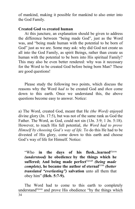of mankind, making it possible for mankind to also enter into the God Family.

#### **Created God vs created human**

At this juncture, an explanation should be given to address the difference between "being made God", just as the Word was, and "being made human with the potential to be born of God" just as we are. Some may ask: why did God not create us all into the God Family, as spirit Beings, rather than create us human with the potential to be born into His spiritual Family? This may also be even better rendered: why was it necessary for the Word to be created God before being born Man? These are good questions!

Please study the following two points, which discuss the reasons why the Word *had to* be created God and *then* come down to this earth. Once we understand this, the above questions become easy to answer. Notice:

a) The Word, created God, meant that He *(the Word)* enjoyed divine glory (Jn. 17:5), but was not of the same rank as God the Father. The Word, as God, could not sin (1Jn. 3:9; 1 Jn. 5:18). However, to reach His full potential, *the Word had to prove Himself by choosing God's way of life.* To do this He had to be divested of His glory, come down to this earth and choose God's way of life for Himself. Notice:

"Who in the days of his flesh...learned<sup>G3129</sup> *(understood)* **he obedience by the things which he** suffered; And being made perfect<sup>G5048</sup> (being made *complete)*, he became the author of eternal<sup>G166</sup> (better *translated "everlasting")* **salvation** unto all them that obey him" **(Heb. 5:7-9).**

The Word had to come to this earth to completely understand<sup>G3129</sup> and prove His obedience "by the things which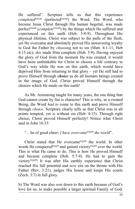He suffered". Scripture tells us that this experience  $\omega$ *completed*<sup>G5048</sup> (perfected<sup>G5048</sup>) the Word. The Word, who became Jesus Christ through His human begettal, was made perfect<sup>G5048</sup> (*complete<sup>G5048</sup>*) by the things which He suffered and experienced on this earth (Heb. 5:8-9). Throughout His physical lifetime, Christ was subject to the pulls of the flesh, yet He overcame and absolutely proved His unwavering loyalty to God the Father by *choosing* not to sin (Matt. 4:1-11; Heb 4:15 etc); *this* made Him complete (Heb. 5:9). Having enjoyed the glory of God from the moment He was created, it would have been unthinkable for Christ to choose a life contrary to God's way while He was on this earth, which would have deprived Him from returning to that glory – yet He still had to prove Himself through *choice* as do all humans beings created in the image of God. Christ proved Himself through the choices which He made on this earth!

As Mr. Armstrong taught for many years, the one thing that God cannot create by fiat is character! This is why, as a created Being, the Word *had to* come to this earth and prove Himself through *choice*. Scripture clearly tells us that Christ was in all points tempted, yet is without sin (Heb. 4:15). Through right choice, Christ proved Himself perfectly! Notice what Christ said in John 16:33:

"…be of good cheer; *I have overcomeG3528 the world*".

Christ stated that He overcame<sup>G3528</sup> the world. In other words He conquered<sup>G3528</sup> and gained victory<sup>G3528</sup> over the world. This is what He came to do. This is how He proved Himself and became complete (Heb. 5:7-9). He had to gain the victoryG3528! It was after His earthly experience that Christ reached His full potential and *now* sits on the throne with His Father (Rev. 3:21), judges His house and keeps His courts (Zech. 3:7) in full glory.

b) The Word was also *sent* down to this earth because of God's love for us; to make possible a larger spiritual Family of God.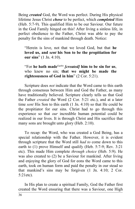Being *created* God, the Word was perfect. During His physical lifetime Jesus Christ *chose* to be perfect, which *completed* Him (Heb. 5:7-9). This qualified Him to be our Saviour. Our future in the God Family hinged on this! After living a sinless life, in perfect obedience to the Father, Christ was able to pay the penalty for the sins of mankind through death. Notice:

"Herein is love, not that we loved God, but that **he loved us, and** *sent* **his Son to be the propitiation for our sins**" (1 Jn. 4:10).

"For **he hath made**G4160 *[created]* **him to be sin for us**, who knew no sin; **that we might be made the righteousness of God in him**" (2 Cor. 5:21).

Scripture does *not* indicate that the Word came to this earth through consensus between Him and God the Father, as many have traditionally believed. Scripture clearly tells us that God the Father *created* the Word (2 Cor. 5:21 etc.), and at a later time *sent* His Son to this earth (1 Jn. 4:10) so that He could be the propitiator for our sins. Christ had to go through this experience so that *our* incredible human potential could be realized in our lives. It is through Christ and His sacrifice that many sons are brought unto glory (Heb. 2:10).

To recap: the Word, who was created a God Being, has a special relationship with the Father. However, it is evident through scripture that the Word still *had to* come down to this earth to (1) prove Himself and qualify (Heb. 5:7-9; Rev. 3:21 etc). This made Him complete *through choice* (Heb. 5:9). He was also created to (2) be a Saviour for mankind. After living and enjoying the glory of God for eons the Word came to this earth, took on human form and paid the penalty in our stead so that mankind's sins may be forgiven (1 Jn. 4:10; 2 Cor. 5:21etc).

In His plan to create a spiritual Family, God the Father first created the Word ensuring that there was a Saviour, one High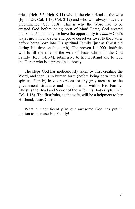priest (Heb. 5:5; Heb. 9:11) who is the clear Head of the wife (Eph 5:23; Col. 1:18; Col. 2:19) and who will always have the preeminence (Col. 1:18). This is why the Word had to be created God before being born of Man! Later, God created mankind. As humans, we have the opportunity to *choose* God's ways, grow in character and prove ourselves loyal to the Father before being born into His spiritual Family (just as Christ did during His time on this earth). The proven 144,000 firstfruits will fulfill the role of the wife of Jesus Christ in the God Family (Rev. 14:1-4), submissive to her Husband and to God the Father who is supreme in authority.

The steps God has meticulously taken by first creating the Word, and then us in human form (before being born into His spiritual Family) leaves no room for any grey areas as to the government structure and our position within His Family: Christ is the Head and Savior of the wife, His Body (Eph. 5:23; Col. 1:18). The firstfruits, as the wife, will be a helpmeet to her Husband, Jesus Christ.

What a magnificent plan our awesome God has put in motion to increase His Family!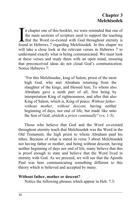# **Chapter 3 Melchisedek**

n chapter one of this booklet, we were reminded that one of the main sections of scripture used to support the teaching that the Word co-existed with God throughout eternity is In chapter one of this booklet, we were reminded that one of the main sections of scripture used to support the teaching that the Word co-existed with God throughout eternity is found in Hebrews 7 regarding Melchisedek. In will take a close look at the relevant verses in Hebrews 7 to understand exactly what is being communicated. We must look at these verses and study them with an open mind, ensuring that preconceived ideas do not cloud God's communication. Notice Hebrews 7:

"For this Melchisedec, king of Salem, priest of the most high God, who met Abraham returning from the slaughter of the kings, and blessed him; To whom also Abraham gave a tenth part of all; first being by interpretation King of righteousness, and after that also King of Salem, which is, King of peace; *Without father, without mother, without descent,* having neither beginning of days, nor end of life; but made like unto the Son of God; *abideth a priest continually*" (vs. 1-3).

Those who believe that God and the Word co-existed throughout eternity teach that Melchisedek was the Word in the Old Testament, the high priest to whom Abraham paid his tithes. Because of what is stated in verse 3 about Melchisedek not having father or mother, and being without descent, having neither beginning of days nor end of life, many believe that this is proof enough to state and believe that the Word lived in eternity with God. As we proceed, we will see that the Apostle Paul was here communicating something different to this theory which is believed and accepted by many.

#### **Without father, mother or descent?**

Notice the following phrases which appear in Heb. 7:3: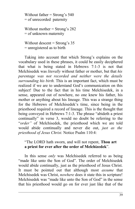Without father  $=$  Strong's 540 = of unrecorded paternity

Without mother = Strong's 282 = of unknown maternity

Without descent  $=$  Strong's 35 = unregistered as to birth

Taking into account that which Strong's explains on the vocabulary used in these phrases, it could be easily deciphered that what is being stated in Hebrews 7:1-3 is not that Melchisedek was *literally* without father or mother, but that *his parentage was not recorded and neither were the details surrounding his birth.* This is an important fact, which must be realized if we are to understand God's communication on this subject! Due to the fact that in his time Melchisedek, in a sense, appeared out of nowhere, no one knew his father, his mother or anything about his lineage. This was a strange thing for the Hebrews of Melchisedek's time, since being in the priesthood required a record of lineage. This is the thought that being conveyed in Hebrews 7:1-3. The phrase "abideth a priest continually" in verse 3, would no doubt be referring to the "*order"* of Melchisedek, the priesthood which we are told would abide continually and never die out, *just as the priesthood of Jesus Christ.* Notice Psalm 110:4:

#### "The LORD hath sworn, and will not repent, **Thou art a priest for ever after the order of Melchizedek**".

In this sense *only* was Melchisedek referred to as being "made like unto the Son of God". The order of Melchisedek would abide continually, just as the priesthood of Jesus Christ. It must be pointed out that although most *assume* that Melchisedek was Christ, *nowhere* does it state this in scripture! Melchisedek was "made like unto the Son of God" in the sense that his priesthood would go on for ever just like that of the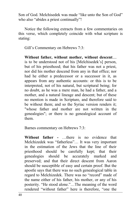Son of God. Melchisedek was made "like unto the Son of God" who also "abides a priest continually"!

Notice the following extracts from a few commentaries on this verse, which completely coincide with what scripture is stating:

Gill's Commentary on Hebrews 7:3:

**Without father, without mother, without descent**.... is to be understood not of his [Melchisedek's] person, but of his priesthood; that his father was not a priest, nor did his mother descend from any in that office; nor had he either a predecessor or a successor in it, as appears from any authentic accounts: or this is to be interpreted, not of his natural, but scriptural being; for no doubt, as he was a mere man, he had a father, and a mother, and a natural lineage and descent; but of these no mention is made in Scripture, and therefore said to be without them; and so the Syriac version renders it; "whose father and mother are not written in the genealogies"; or there is no genealogical account of them.

Barnes commentary on Hebrews 7:3:

**Without father -** …there is no evidence that Melchizedek was "fatherless"… It was very important in the estimation of the Jews that the line of their priesthood should be carefully kept; that their genealogies should be accurately marked and preserved; and that their direct descent from Aaron should be susceptible of easy and certain proof. But the apostle says that there was no such genealogical table in regard to Melchizedek. There was no "record" made of the name either of his father, his mother, or any of his posterity. "He stood alone."…The meaning of the word rendered "without father" here is therefore, "one the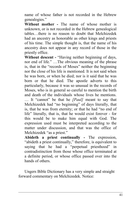name of whose father is not recorded in the Hebrew genealogies."

**Without mother -** The name of whose mother is unknown, or is not recorded in the Hebrew genealogical tables…there is no reason to doubt that Melchizedek had an ancestry as honorable as other kings and priests of his time. The simple thought is, that the name of his ancestry does not appear in any record of those in the priestly office.

Without descent - "Having neither beginning of days, nor end of life." …The obvious meaning of the phrase is, that in the "records of Moses" neither the beginning nor the close of his life is mentioned. It is not said when he was born, or when he died; nor is it said that he was born or that he died. The apostle adverts to this particularly, because it was so unusual in the records of Moses, who is in general so careful to mention the birth and death of the individuals whose lives he mentions. … It "cannot" be that he *[Paul]* meant to say that Melchizedek had "no beginning" of days literally, that is, that he was from eternity; or that he had "no end of life" literally, that is, that he would exist forever - for this would be to make him equal with God. The expression used must be interpreted according to the matter under discussion, and that was the office of Melchizedek "as a priest."

**Abideth a priest continually -** The expression, "abideth a priest continually," therefore, is equivalent to saying that he had a "perpetual priesthood" in contradistinction from those whose office terminated at a definite period, or whose office passed over into the hands of others.

Ungers Bible Dictionary has a very simple and straight forward commentary on Melchizedek. Notice: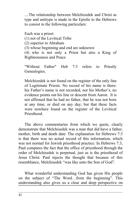....The relationship between Melchizedek and Christ as type and antitype is made in the Epistle to the Hebrews to consist in the following particulars:

Each was a priest: (1) not of the Levitical Tribe (2) superior to Abraham (3) whose beginning and end are unknown (4) who is not only a Priest but also a King of Righteousness and Peace

"Without Father" Heb 7:3 refers to Priestly Genealogies.

Melchizedek is not found on the register of the only line of Legitimate Priests. No record of his name is there: his Father's name is not recorded, nor his Mother's, no evidence points out his line or descent from Aaron. It is not affirmed that he had no father, that he was not born at any time, or died on any day; but that these facts were nowhere found on the register of the Levitical Priesthood.

The above commentaries from which we quote, clearly demonstrate that Melchisedek was a man that did have a father, mother, birth and death date. The explanation for Hebrews 7:3 is that there was no actual record of this information, which was not normal for Jewish priesthood practice. In Hebrews 7:3, Paul compares the fact that the office of priesthood through the order of Melchisedek is perpetual, just as is the priesthood of Jesus Christ. Paul injects the thought that because of this resemblance, Melchisedek "was like unto the Son of God".

What wonderful understanding God has given His people on the subject of "The Word…from the beginning". This understanding also gives us a clear and deep perspective on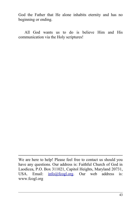God the Father that He alone inhabits eternity and has no beginning or ending.

All God wants us to do is believe Him and His communication via the Holy scriptures!

We are here to help! Please feel free to contact us should you have any questions. Our address is: Faithful Church of God in Laodicea, P.O. Box 311021, Capitol Heights, Maryland 20731, USA. Email:  $info@fcogl.org$ . Our web address is: www.fcogl.org